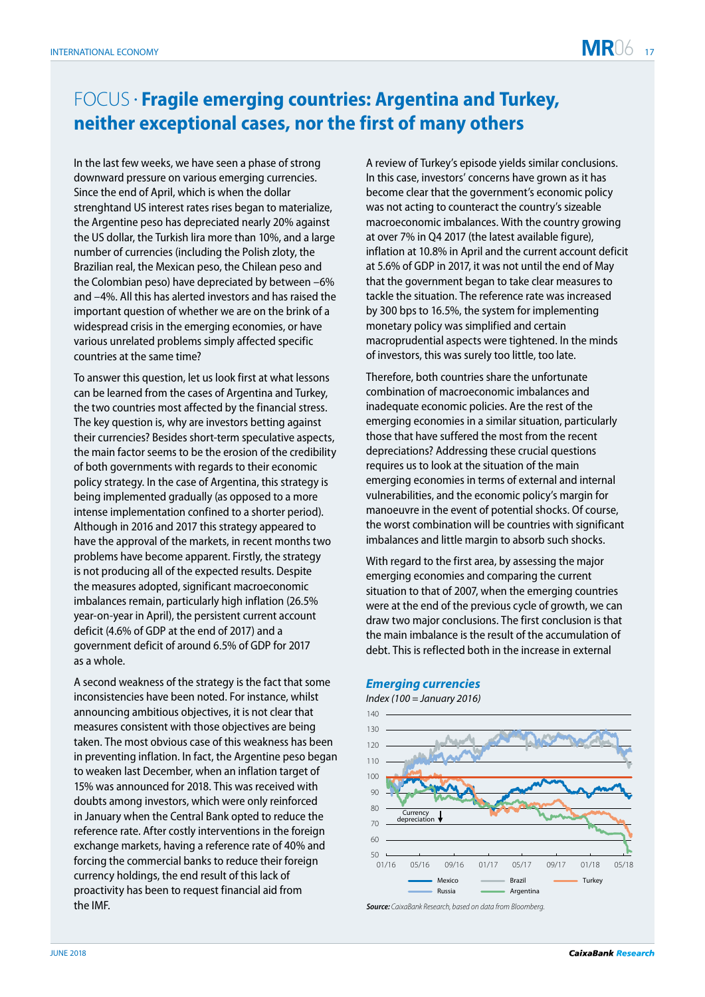## FOCUS •  **Fragile emerging countries: Argentina and Turkey, neither exceptional cases, nor the first of many others**

In the last few weeks, we have seen a phase of strong downward pressure on various emerging currencies. Since the end of April, which is when the dollar strenghtand US interest rates rises began to materialize, the Argentine peso has depreciated nearly 20% against the US dollar, the Turkish lira more than 10%, and a large number of currencies (including the Polish zloty, the Brazilian real, the Mexican peso, the Chilean peso and the Colombian peso) have depreciated by between –6% and –4%. All this has alerted investors and has raised the important question of whether we are on the brink of a widespread crisis in the emerging economies, or have various unrelated problems simply affected specific countries at the same time?

To answer this question, let us look first at what lessons can be learned from the cases of Argentina and Turkey, the two countries most affected by the financial stress. The key question is, why are investors betting against their currencies? Besides short-term speculative aspects, the main factor seems to be the erosion of the credibility of both governments with regards to their economic policy strategy. In the case of Argentina, this strategy is being implemented gradually (as opposed to a more intense implementation confined to a shorter period). Although in 2016 and 2017 this strategy appeared to have the approval of the markets, in recent months two problems have become apparent. Firstly, the strategy is not producing all of the expected results. Despite the measures adopted, significant macroeconomic imbalances remain, particularly high inflation (26.5% year-on-year in April), the persistent current account deficit (4.6% of GDP at the end of 2017) and a government deficit of around 6.5% of GDP for 2017 as a whole.

A second weakness of the strategy is the fact that some inconsistencies have been noted. For instance, whilst announcing ambitious objectives, it is not clear that measures consistent with those objectives are being taken. The most obvious case of this weakness has been in preventing inflation. In fact, the Argentine peso began to weaken last December, when an inflation target of 15% was announced for 2018. This was received with doubts among investors, which were only reinforced in January when the Central Bank opted to reduce the reference rate. After costly interventions in the foreign exchange markets, having a reference rate of 40% and forcing the commercial banks to reduce their foreign currency holdings, the end result of this lack of proactivity has been to request financial aid from the IMF.

A review of Turkey's episode yields similar conclusions. In this case, investors' concerns have grown as it has become clear that the government's economic policy was not acting to counteract the country's sizeable macroeconomic imbalances. With the country growing at over 7% in Q4 2017 (the latest available figure), inflation at 10.8% in April and the current account deficit at 5.6% of GDP in 2017, it was not until the end of May that the government began to take clear measures to tackle the situation. The reference rate was increased by 300 bps to 16.5%, the system for implementing monetary policy was simplified and certain macroprudential aspects were tightened. In the minds of investors, this was surely too little, too late.

Therefore, both countries share the unfortunate combination of macroeconomic imbalances and inadequate economic policies. Are the rest of the emerging economies in a similar situation, particularly those that have suffered the most from the recent depreciations? Addressing these crucial questions requires us to look at the situation of the main emerging economies in terms of external and internal vulnerabilities, and the economic policy's margin for manoeuvre in the event of potential shocks. Of course, the worst combination will be countries with significant imbalances and little margin to absorb such shocks.

With regard to the first area, by assessing the major emerging economies and comparing the current situation to that of 2007, when the emerging countries were at the end of the previous cycle of growth, we can draw two major conclusions. The first conclusion is that the main imbalance is the result of the accumulation of debt. This is reflected both in the increase in external





**Source***: CaixaBank Research,* based on data from Bloomberg.